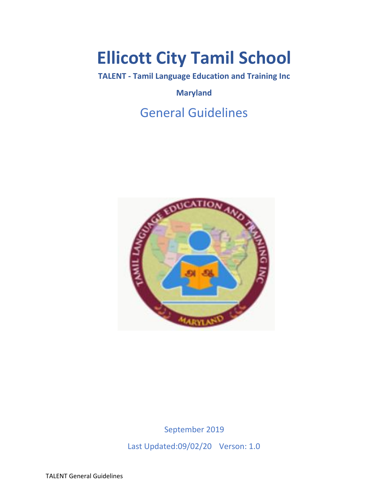# **Ellicott City Tamil School**

**TALENT - Tamil Language Education and Training Inc**

**Maryland**

## General Guidelines



September 2019 Last Updated:09/02/20 Verson: 1.0

TALENT General Guidelines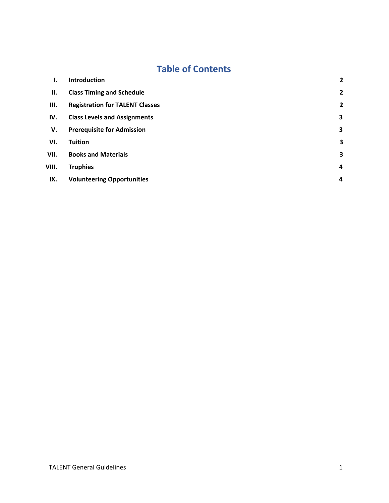### **Table of Contents**

| ı.    | <b>Introduction</b>                    | $\overline{2}$          |
|-------|----------------------------------------|-------------------------|
| П.    | <b>Class Timing and Schedule</b>       | $\overline{2}$          |
| III.  | <b>Registration for TALENT Classes</b> | $\overline{2}$          |
| IV.   | <b>Class Levels and Assignments</b>    | $\overline{\mathbf{3}}$ |
| V.    | <b>Prerequisite for Admission</b>      | 3                       |
| VI.   | <b>Tuition</b>                         | 3                       |
| VII.  | <b>Books and Materials</b>             | 3                       |
| VIII. | <b>Trophies</b>                        | 4                       |
| IX.   | <b>Volunteering Opportunities</b>      | 4                       |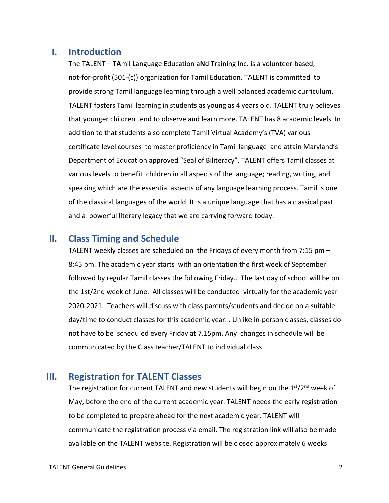#### <span id="page-2-0"></span>**I. Introduction**

The TALENT – **TA**mil **L**anguage Education a**N**d **T**raining Inc. is a volunteer-based, not-for-profit (501-(c)) organization for Tamil Education. TALENT is committed to provide strong Tamil language learning through a well balanced academic curriculum. TALENT fosters Tamil learning in students as young as 4 years old. TALENT truly believes that younger children tend to observe and learn more. TALENT has 8 academic levels. In addition to that students also complete Tamil Virtual Academy's (TVA) various certificate level courses to master proficiency in Tamil language and attain Maryland's Department of Education approved "Seal of Biliteracy". TALENT offers Tamil classes at various levels to benefit children in all aspects of the language; reading, writing, and speaking which are the essential aspects of any language learning process. Tamil is one of the classical languages of the world. It is a unique language that has a classical past and a powerful literary legacy that we are carrying forward today.

#### <span id="page-2-1"></span>**II. Class Timing and Schedule**

TALENT weekly classes are scheduled on the Fridays of every month from 7:15 pm – 8:45 pm. The academic year starts with an orientation the first week of September followed by regular Tamil classes the following Friday.. The last day of school will be on the 1st/2nd week of June. All classes will be conducted virtually for the academic year 2020-2021. Teachers will discuss with class parents/students and decide on a suitable day/time to conduct classes for this academic year. . Unlike in-person classes, classes do not have to be scheduled every Friday at 7.15pm. Any changes in schedule will be communicated by the Class teacher/TALENT to individual class.

#### <span id="page-2-2"></span>**III. Registration for TALENT Classes**

The registration for current TALENT and new students will begin on the  $1<sup>st</sup>/2<sup>nd</sup>$  week of May, before the end of the current academic year. TALENT needs the early registration to be completed to prepare ahead for the next academic year. TALENT will communicate the registration process via email. The registration link will also be made available on the TALENT website. Registration will be closed approximately 6 weeks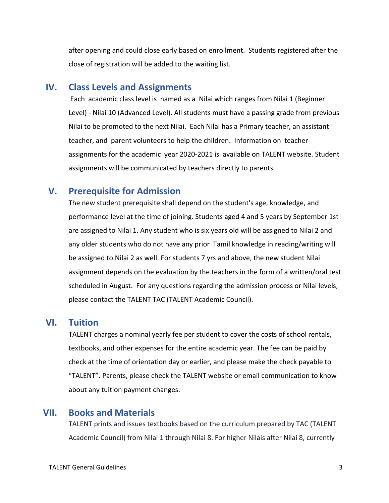after opening and could close early based on enrollment. Students registered after the close of registration will be added to the waiting list.

#### <span id="page-3-0"></span>**IV. Class Levels and Assignments**

 Each academic class level is named as a Nilai which ranges from Nilai 1 (Beginner Level) - Nilai 10 (Advanced Level). All students must have a passing grade from previous Nilai to be promoted to the next Nilai. Each Nilai has a Primary teacher, an assistant teacher, and parent volunteers to help the children. Information on teacher assignments for the academic year 2020-2021 is available on TALENT website. Student assignments will be communicated by teachers directly to parents.

#### <span id="page-3-1"></span>**V. Prerequisite for Admission**

The new student prerequisite shall depend on the student's age, knowledge, and performance level at the time of joining. Students aged 4 and 5 years by September 1st are assigned to Nilai 1. Any student who is six years old will be assigned to Nilai 2 and any older students who do not have any prior Tamil knowledge in reading/writing will be assigned to Nilai 2 as well. For students 7 yrs and above, the new student Nilai assignment depends on the evaluation by the teachers in the form of a written/oral test scheduled in August. For any questions regarding the admission process or Nilai levels, please contact the TALENT TAC (TALENT Academic Council).

#### <span id="page-3-2"></span>**VI. Tuition**

TALENT charges a nominal yearly fee per student to cover the costs of school rentals, textbooks, and other expenses for the entire academic year. The fee can be paid by check at the time of orientation day or earlier, and please make the check payable to "TALENT". Parents, please check the TALENT website or email communication to know about any tuition payment changes.

#### <span id="page-3-3"></span>**VII. Books and Materials**

TALENT prints and issues textbooks based on the curriculum prepared by TAC (TALENT Academic Council) from Nilai 1 through Nilai 8. For higher Nilais after Nilai 8, currently